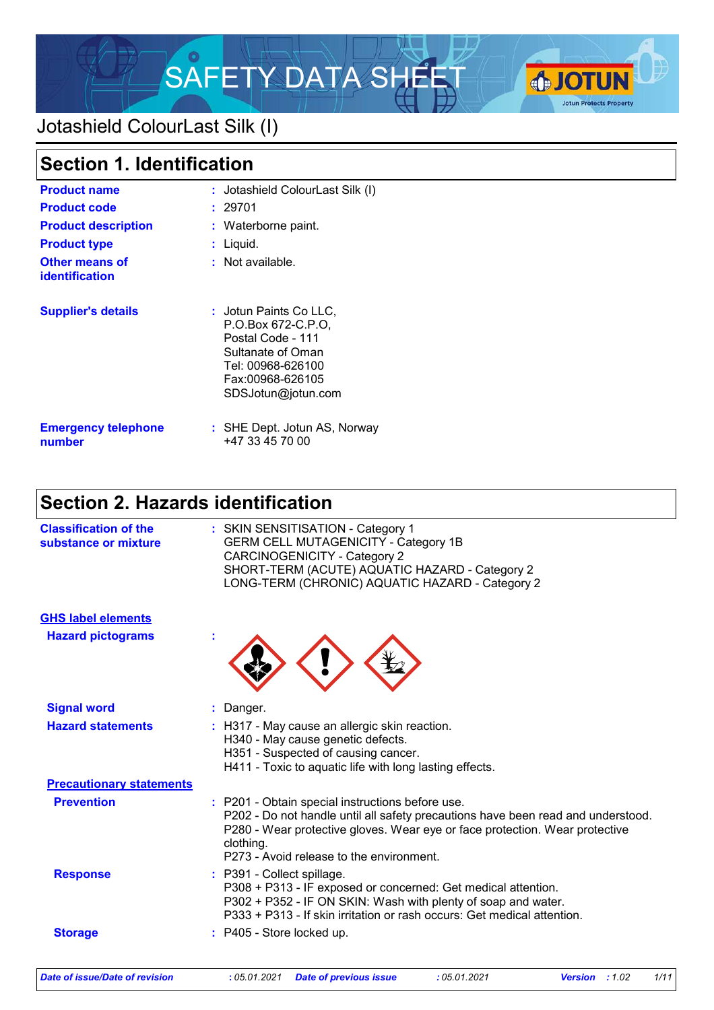

# Jotashield ColourLast Silk (I)

| <b>Section 1. Identification</b>               |                                                                                                                                                       |  |  |
|------------------------------------------------|-------------------------------------------------------------------------------------------------------------------------------------------------------|--|--|
| <b>Product name</b>                            | : Jotashield ColourLast Silk (I)                                                                                                                      |  |  |
| <b>Product code</b>                            | 29701                                                                                                                                                 |  |  |
| <b>Product description</b>                     | : Waterborne paint.                                                                                                                                   |  |  |
| <b>Product type</b>                            | Liquid.                                                                                                                                               |  |  |
| <b>Other means of</b><br><b>identification</b> | : Not available.                                                                                                                                      |  |  |
| <b>Supplier's details</b>                      | : Jotun Paints Co LLC.<br>P.O.Box 672-C.P.O.<br>Postal Code - 111<br>Sultanate of Oman<br>Tel: 00968-626100<br>Fax:00968-626105<br>SDSJotun@jotun.com |  |  |
| <b>Emergency telephone</b><br>number           | : SHE Dept. Jotun AS, Norway<br>+47 33 45 70 00                                                                                                       |  |  |

# **Section 2. Hazards identification**

| <b>Classification of the</b><br>substance or mixture | : SKIN SENSITISATION - Category 1<br><b>GERM CELL MUTAGENICITY - Category 1B</b><br><b>CARCINOGENICITY - Category 2</b><br>SHORT-TERM (ACUTE) AQUATIC HAZARD - Category 2<br>LONG-TERM (CHRONIC) AQUATIC HAZARD - Category 2                                                 |
|------------------------------------------------------|------------------------------------------------------------------------------------------------------------------------------------------------------------------------------------------------------------------------------------------------------------------------------|
| <b>GHS label elements</b>                            |                                                                                                                                                                                                                                                                              |
| <b>Hazard pictograms</b>                             |                                                                                                                                                                                                                                                                              |
| <b>Signal word</b>                                   | : Danger.                                                                                                                                                                                                                                                                    |
| <b>Hazard statements</b>                             | : H317 - May cause an allergic skin reaction.<br>H340 - May cause genetic defects.<br>H351 - Suspected of causing cancer.<br>H411 - Toxic to aquatic life with long lasting effects.                                                                                         |
| <b>Precautionary statements</b>                      |                                                                                                                                                                                                                                                                              |
| <b>Prevention</b>                                    | : P201 - Obtain special instructions before use.<br>P202 - Do not handle until all safety precautions have been read and understood.<br>P280 - Wear protective gloves. Wear eye or face protection. Wear protective<br>clothing.<br>P273 - Avoid release to the environment. |
| <b>Response</b>                                      | : P391 - Collect spillage.<br>P308 + P313 - IF exposed or concerned: Get medical attention.<br>P302 + P352 - IF ON SKIN: Wash with plenty of soap and water.<br>P333 + P313 - If skin irritation or rash occurs: Get medical attention.                                      |
| <b>Storage</b>                                       | P405 - Store locked up.                                                                                                                                                                                                                                                      |
|                                                      |                                                                                                                                                                                                                                                                              |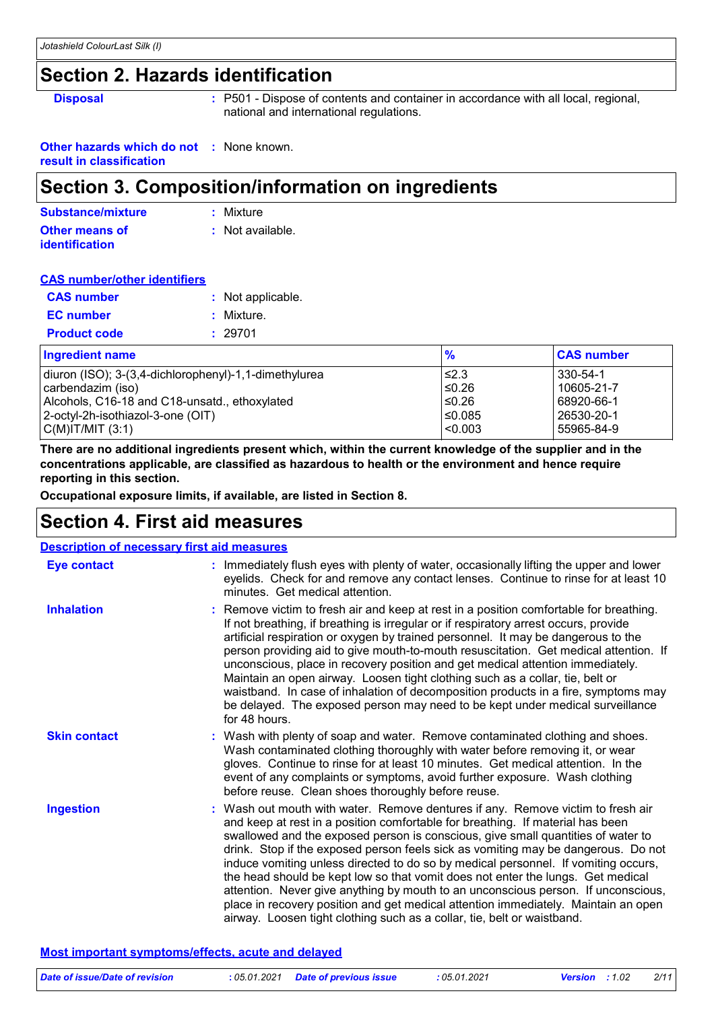# **Section 2. Hazards identification**

**Disposal :** P501 - Dispose of contents and container in accordance with all local, regional, national and international regulations.

**Other hazards which do not :** None known. **result in classification**

# **Section 3. Composition/information on ingredients**

| Substance/mixture     | : Mixture        |
|-----------------------|------------------|
| <b>Other means of</b> | : Not available. |
| <b>identification</b> |                  |

### **CAS number/other identifiers**

| <b>CAS number</b>   | : Not applicable. |
|---------------------|-------------------|
| <b>EC</b> number    | : Mixture.        |
| <b>Product code</b> | : 29701           |

| <b>Ingredient name</b>                                | $\frac{9}{6}$ | <b>CAS number</b> |
|-------------------------------------------------------|---------------|-------------------|
| diuron (ISO); 3-(3,4-dichlorophenyl)-1,1-dimethylurea | ≤2.3          | 330-54-1          |
| carbendazim (iso)                                     | $≤0.26$       | 10605-21-7        |
| Alcohols, C16-18 and C18-unsatd., ethoxylated         | ≤0.26         | 68920-66-1        |
| 2-octyl-2h-isothiazol-3-one (OIT)                     | 50.085∣       | 26530-20-1        |
| C(M) T/MIT (3:1)                                      | $ $ <0.003    | 55965-84-9        |

**There are no additional ingredients present which, within the current knowledge of the supplier and in the concentrations applicable, are classified as hazardous to health or the environment and hence require reporting in this section.**

**Occupational exposure limits, if available, are listed in Section 8.**

# **Section 4. First aid measures**

| <b>Description of necessary first aid measures</b> |                                                                                                                                                                                                                                                                                                                                                                                                                                                                                                                                                                                                                                                                                                                                                                           |
|----------------------------------------------------|---------------------------------------------------------------------------------------------------------------------------------------------------------------------------------------------------------------------------------------------------------------------------------------------------------------------------------------------------------------------------------------------------------------------------------------------------------------------------------------------------------------------------------------------------------------------------------------------------------------------------------------------------------------------------------------------------------------------------------------------------------------------------|
| <b>Eye contact</b>                                 | : Immediately flush eyes with plenty of water, occasionally lifting the upper and lower<br>eyelids. Check for and remove any contact lenses. Continue to rinse for at least 10<br>minutes. Get medical attention.                                                                                                                                                                                                                                                                                                                                                                                                                                                                                                                                                         |
| <b>Inhalation</b>                                  | : Remove victim to fresh air and keep at rest in a position comfortable for breathing.<br>If not breathing, if breathing is irregular or if respiratory arrest occurs, provide<br>artificial respiration or oxygen by trained personnel. It may be dangerous to the<br>person providing aid to give mouth-to-mouth resuscitation. Get medical attention. If<br>unconscious, place in recovery position and get medical attention immediately.<br>Maintain an open airway. Loosen tight clothing such as a collar, tie, belt or<br>waistband. In case of inhalation of decomposition products in a fire, symptoms may<br>be delayed. The exposed person may need to be kept under medical surveillance<br>for 48 hours.                                                    |
| <b>Skin contact</b>                                | : Wash with plenty of soap and water. Remove contaminated clothing and shoes.<br>Wash contaminated clothing thoroughly with water before removing it, or wear<br>gloves. Continue to rinse for at least 10 minutes. Get medical attention. In the<br>event of any complaints or symptoms, avoid further exposure. Wash clothing<br>before reuse. Clean shoes thoroughly before reuse.                                                                                                                                                                                                                                                                                                                                                                                     |
| <b>Ingestion</b>                                   | : Wash out mouth with water. Remove dentures if any. Remove victim to fresh air<br>and keep at rest in a position comfortable for breathing. If material has been<br>swallowed and the exposed person is conscious, give small quantities of water to<br>drink. Stop if the exposed person feels sick as vomiting may be dangerous. Do not<br>induce vomiting unless directed to do so by medical personnel. If vomiting occurs,<br>the head should be kept low so that vomit does not enter the lungs. Get medical<br>attention. Never give anything by mouth to an unconscious person. If unconscious,<br>place in recovery position and get medical attention immediately. Maintain an open<br>airway. Loosen tight clothing such as a collar, tie, belt or waistband. |

### **Most important symptoms/effects, acute and delayed**

| Date of issue/Date of revision | : 05.01.2021 Date of previous issue | : 05.01.2021 | <b>Version</b> : 1.02 | 2/11 |
|--------------------------------|-------------------------------------|--------------|-----------------------|------|
|                                |                                     |              |                       |      |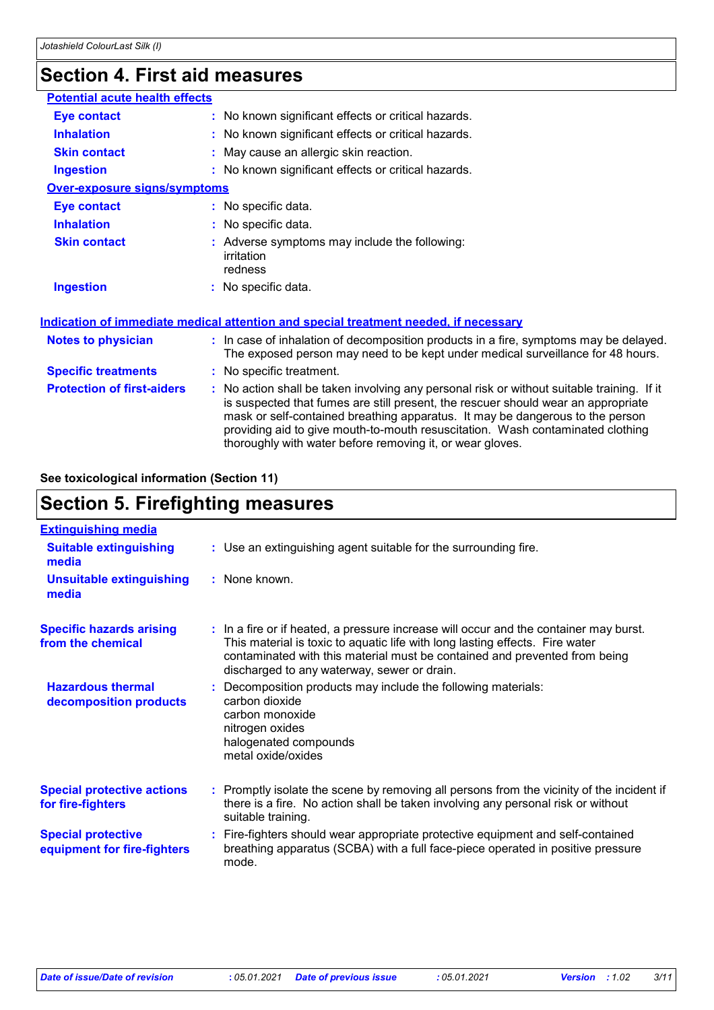# **Section 4. First aid measures**

| : No known significant effects or critical hazards.                                                                                                                                                                                                                                                                                                                                                             |  |  |
|-----------------------------------------------------------------------------------------------------------------------------------------------------------------------------------------------------------------------------------------------------------------------------------------------------------------------------------------------------------------------------------------------------------------|--|--|
| : No known significant effects or critical hazards.                                                                                                                                                                                                                                                                                                                                                             |  |  |
| : May cause an allergic skin reaction.                                                                                                                                                                                                                                                                                                                                                                          |  |  |
| : No known significant effects or critical hazards.                                                                                                                                                                                                                                                                                                                                                             |  |  |
| <b>Over-exposure signs/symptoms</b>                                                                                                                                                                                                                                                                                                                                                                             |  |  |
| : No specific data.                                                                                                                                                                                                                                                                                                                                                                                             |  |  |
| : No specific data.                                                                                                                                                                                                                                                                                                                                                                                             |  |  |
| : Adverse symptoms may include the following:<br>irritation<br>redness                                                                                                                                                                                                                                                                                                                                          |  |  |
| : No specific data.                                                                                                                                                                                                                                                                                                                                                                                             |  |  |
| Indication of immediate medical attention and special treatment needed, if necessary                                                                                                                                                                                                                                                                                                                            |  |  |
| : In case of inhalation of decomposition products in a fire, symptoms may be delayed.<br>The exposed person may need to be kept under medical surveillance for 48 hours.                                                                                                                                                                                                                                        |  |  |
| : No specific treatment.                                                                                                                                                                                                                                                                                                                                                                                        |  |  |
| : No action shall be taken involving any personal risk or without suitable training. If it<br>is suspected that fumes are still present, the rescuer should wear an appropriate<br>mask or self-contained breathing apparatus. It may be dangerous to the person<br>providing aid to give mouth-to-mouth resuscitation. Wash contaminated clothing<br>thoroughly with water before removing it, or wear gloves. |  |  |
| <b>Potential acute health effects</b>                                                                                                                                                                                                                                                                                                                                                                           |  |  |

### **See toxicological information (Section 11)**

# **Section 5. Firefighting measures**

| <b>Extinguishing media</b>                               |                                                                                                                                                                                                                                                                                                    |
|----------------------------------------------------------|----------------------------------------------------------------------------------------------------------------------------------------------------------------------------------------------------------------------------------------------------------------------------------------------------|
| <b>Suitable extinguishing</b><br>media                   | : Use an extinguishing agent suitable for the surrounding fire.                                                                                                                                                                                                                                    |
| <b>Unsuitable extinguishing</b><br>media                 | $:$ None known.                                                                                                                                                                                                                                                                                    |
| <b>Specific hazards arising</b><br>from the chemical     | : In a fire or if heated, a pressure increase will occur and the container may burst.<br>This material is toxic to aquatic life with long lasting effects. Fire water<br>contaminated with this material must be contained and prevented from being<br>discharged to any waterway, sewer or drain. |
| <b>Hazardous thermal</b><br>decomposition products       | : Decomposition products may include the following materials:<br>carbon dioxide<br>carbon monoxide<br>nitrogen oxides<br>halogenated compounds<br>metal oxide/oxides                                                                                                                               |
| <b>Special protective actions</b><br>for fire-fighters   | : Promptly isolate the scene by removing all persons from the vicinity of the incident if<br>there is a fire. No action shall be taken involving any personal risk or without<br>suitable training.                                                                                                |
| <b>Special protective</b><br>equipment for fire-fighters | : Fire-fighters should wear appropriate protective equipment and self-contained<br>breathing apparatus (SCBA) with a full face-piece operated in positive pressure<br>mode.                                                                                                                        |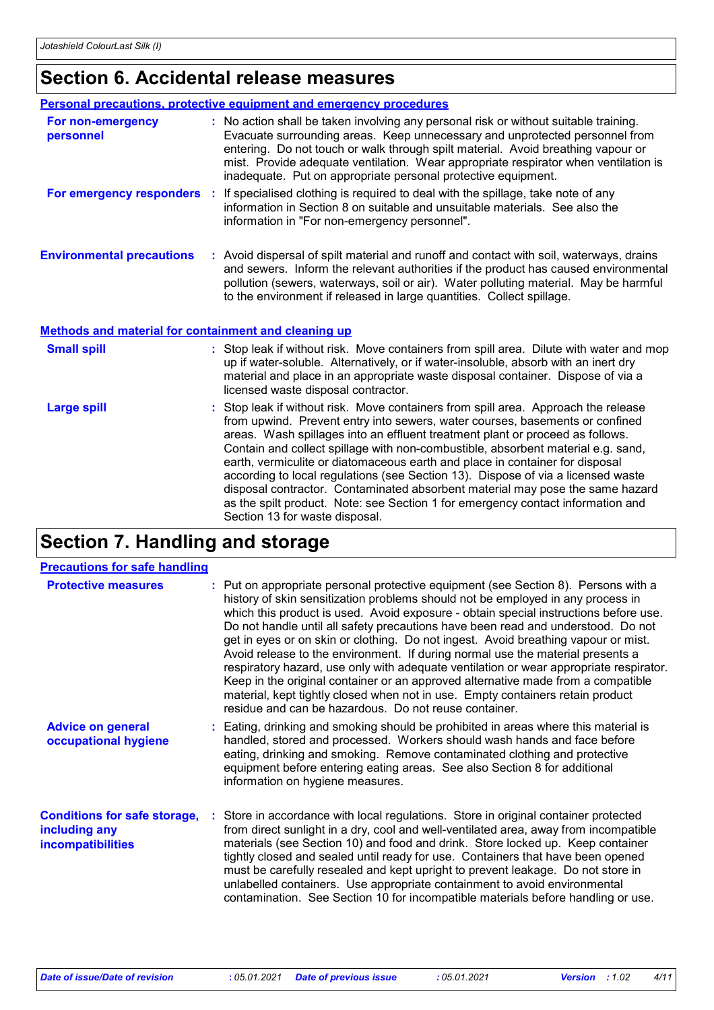# **Section 6. Accidental release measures**

|                                                             | <b>Personal precautions, protective equipment and emergency procedures</b>                                                                                                                                                                                                                                                                                                                                                                                                                                                                                                                                                                                                                                        |
|-------------------------------------------------------------|-------------------------------------------------------------------------------------------------------------------------------------------------------------------------------------------------------------------------------------------------------------------------------------------------------------------------------------------------------------------------------------------------------------------------------------------------------------------------------------------------------------------------------------------------------------------------------------------------------------------------------------------------------------------------------------------------------------------|
| For non-emergency<br>personnel                              | : No action shall be taken involving any personal risk or without suitable training.<br>Evacuate surrounding areas. Keep unnecessary and unprotected personnel from<br>entering. Do not touch or walk through spilt material. Avoid breathing vapour or<br>mist. Provide adequate ventilation. Wear appropriate respirator when ventilation is<br>inadequate. Put on appropriate personal protective equipment.                                                                                                                                                                                                                                                                                                   |
| For emergency responders :                                  | If specialised clothing is required to deal with the spillage, take note of any<br>information in Section 8 on suitable and unsuitable materials. See also the<br>information in "For non-emergency personnel".                                                                                                                                                                                                                                                                                                                                                                                                                                                                                                   |
| <b>Environmental precautions</b>                            | : Avoid dispersal of spilt material and runoff and contact with soil, waterways, drains<br>and sewers. Inform the relevant authorities if the product has caused environmental<br>pollution (sewers, waterways, soil or air). Water polluting material. May be harmful<br>to the environment if released in large quantities. Collect spillage.                                                                                                                                                                                                                                                                                                                                                                   |
| <b>Methods and material for containment and cleaning up</b> |                                                                                                                                                                                                                                                                                                                                                                                                                                                                                                                                                                                                                                                                                                                   |
| <b>Small spill</b>                                          | : Stop leak if without risk. Move containers from spill area. Dilute with water and mop<br>up if water-soluble. Alternatively, or if water-insoluble, absorb with an inert dry<br>material and place in an appropriate waste disposal container. Dispose of via a<br>licensed waste disposal contractor.                                                                                                                                                                                                                                                                                                                                                                                                          |
| <b>Large spill</b>                                          | : Stop leak if without risk. Move containers from spill area. Approach the release<br>from upwind. Prevent entry into sewers, water courses, basements or confined<br>areas. Wash spillages into an effluent treatment plant or proceed as follows.<br>Contain and collect spillage with non-combustible, absorbent material e.g. sand,<br>earth, vermiculite or diatomaceous earth and place in container for disposal<br>according to local regulations (see Section 13). Dispose of via a licensed waste<br>disposal contractor. Contaminated absorbent material may pose the same hazard<br>as the spilt product. Note: see Section 1 for emergency contact information and<br>Section 13 for waste disposal. |

# **Section 7. Handling and storage**

| <b>Precautions for safe handling</b>                                      |                                                                                                                                                                                                                                                                                                                                                                                                                                                                                                                                                                                                                                                                                                                                                                                                                                                    |
|---------------------------------------------------------------------------|----------------------------------------------------------------------------------------------------------------------------------------------------------------------------------------------------------------------------------------------------------------------------------------------------------------------------------------------------------------------------------------------------------------------------------------------------------------------------------------------------------------------------------------------------------------------------------------------------------------------------------------------------------------------------------------------------------------------------------------------------------------------------------------------------------------------------------------------------|
| <b>Protective measures</b>                                                | : Put on appropriate personal protective equipment (see Section 8). Persons with a<br>history of skin sensitization problems should not be employed in any process in<br>which this product is used. Avoid exposure - obtain special instructions before use.<br>Do not handle until all safety precautions have been read and understood. Do not<br>get in eyes or on skin or clothing. Do not ingest. Avoid breathing vapour or mist.<br>Avoid release to the environment. If during normal use the material presents a<br>respiratory hazard, use only with adequate ventilation or wear appropriate respirator.<br>Keep in the original container or an approved alternative made from a compatible<br>material, kept tightly closed when not in use. Empty containers retain product<br>residue and can be hazardous. Do not reuse container. |
| <b>Advice on general</b><br>occupational hygiene                          | : Eating, drinking and smoking should be prohibited in areas where this material is<br>handled, stored and processed. Workers should wash hands and face before<br>eating, drinking and smoking. Remove contaminated clothing and protective<br>equipment before entering eating areas. See also Section 8 for additional<br>information on hygiene measures.                                                                                                                                                                                                                                                                                                                                                                                                                                                                                      |
| <b>Conditions for safe storage,</b><br>including any<br>incompatibilities | : Store in accordance with local regulations. Store in original container protected<br>from direct sunlight in a dry, cool and well-ventilated area, away from incompatible<br>materials (see Section 10) and food and drink. Store locked up. Keep container<br>tightly closed and sealed until ready for use. Containers that have been opened<br>must be carefully resealed and kept upright to prevent leakage. Do not store in<br>unlabelled containers. Use appropriate containment to avoid environmental<br>contamination. See Section 10 for incompatible materials before handling or use.                                                                                                                                                                                                                                               |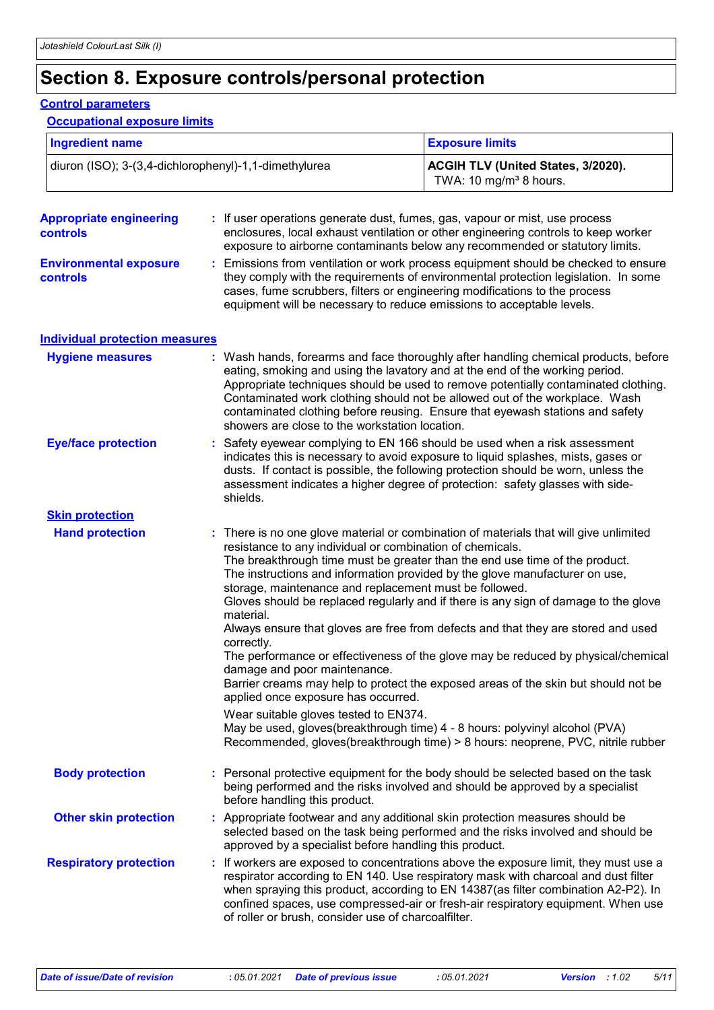# **Section 8. Exposure controls/personal protection**

#### **Control parameters**

### **Occupational exposure limits**

| <b>Ingredient name</b>                                |                                                                                                                                                | <b>Exposure limits</b>                                                                                                                                                                                                                                                                                                                                                                                                          |  |
|-------------------------------------------------------|------------------------------------------------------------------------------------------------------------------------------------------------|---------------------------------------------------------------------------------------------------------------------------------------------------------------------------------------------------------------------------------------------------------------------------------------------------------------------------------------------------------------------------------------------------------------------------------|--|
| diuron (ISO); 3-(3,4-dichlorophenyl)-1,1-dimethylurea |                                                                                                                                                | ACGIH TLV (United States, 3/2020).<br>TWA: 10 mg/m <sup>3</sup> 8 hours.                                                                                                                                                                                                                                                                                                                                                        |  |
| <b>Appropriate engineering</b><br>controls            |                                                                                                                                                | : If user operations generate dust, fumes, gas, vapour or mist, use process<br>enclosures, local exhaust ventilation or other engineering controls to keep worker<br>exposure to airborne contaminants below any recommended or statutory limits.                                                                                                                                                                               |  |
| <b>Environmental exposure</b><br><b>controls</b>      |                                                                                                                                                | Emissions from ventilation or work process equipment should be checked to ensure<br>they comply with the requirements of environmental protection legislation. In some<br>cases, fume scrubbers, filters or engineering modifications to the process<br>equipment will be necessary to reduce emissions to acceptable levels.                                                                                                   |  |
| <b>Individual protection measures</b>                 |                                                                                                                                                |                                                                                                                                                                                                                                                                                                                                                                                                                                 |  |
| <b>Hygiene measures</b>                               | showers are close to the workstation location.                                                                                                 | : Wash hands, forearms and face thoroughly after handling chemical products, before<br>eating, smoking and using the lavatory and at the end of the working period.<br>Appropriate techniques should be used to remove potentially contaminated clothing.<br>Contaminated work clothing should not be allowed out of the workplace. Wash<br>contaminated clothing before reusing. Ensure that eyewash stations and safety       |  |
| <b>Eye/face protection</b>                            | shields.                                                                                                                                       | Safety eyewear complying to EN 166 should be used when a risk assessment<br>indicates this is necessary to avoid exposure to liquid splashes, mists, gases or<br>dusts. If contact is possible, the following protection should be worn, unless the<br>assessment indicates a higher degree of protection: safety glasses with side-                                                                                            |  |
| <b>Skin protection</b>                                |                                                                                                                                                |                                                                                                                                                                                                                                                                                                                                                                                                                                 |  |
| <b>Hand protection</b>                                | resistance to any individual or combination of chemicals.<br>storage, maintenance and replacement must be followed.<br>material.<br>correctly. | : There is no one glove material or combination of materials that will give unlimited<br>The breakthrough time must be greater than the end use time of the product.<br>The instructions and information provided by the glove manufacturer on use,<br>Gloves should be replaced regularly and if there is any sign of damage to the glove<br>Always ensure that gloves are free from defects and that they are stored and used |  |
|                                                       | damage and poor maintenance.<br>applied once exposure has occurred.                                                                            | The performance or effectiveness of the glove may be reduced by physical/chemical<br>Barrier creams may help to protect the exposed areas of the skin but should not be                                                                                                                                                                                                                                                         |  |
|                                                       | Wear suitable gloves tested to EN374.                                                                                                          | May be used, gloves(breakthrough time) 4 - 8 hours: polyvinyl alcohol (PVA)<br>Recommended, gloves(breakthrough time) > 8 hours: neoprene, PVC, nitrile rubber                                                                                                                                                                                                                                                                  |  |
| <b>Body protection</b>                                | before handling this product.                                                                                                                  | : Personal protective equipment for the body should be selected based on the task<br>being performed and the risks involved and should be approved by a specialist                                                                                                                                                                                                                                                              |  |
| <b>Other skin protection</b>                          | approved by a specialist before handling this product.                                                                                         | : Appropriate footwear and any additional skin protection measures should be<br>selected based on the task being performed and the risks involved and should be                                                                                                                                                                                                                                                                 |  |
| <b>Respiratory protection</b>                         | of roller or brush, consider use of charcoalfilter.                                                                                            | : If workers are exposed to concentrations above the exposure limit, they must use a<br>respirator according to EN 140. Use respiratory mask with charcoal and dust filter<br>when spraying this product, according to EN 14387(as filter combination A2-P2). In<br>confined spaces, use compressed-air or fresh-air respiratory equipment. When use                                                                            |  |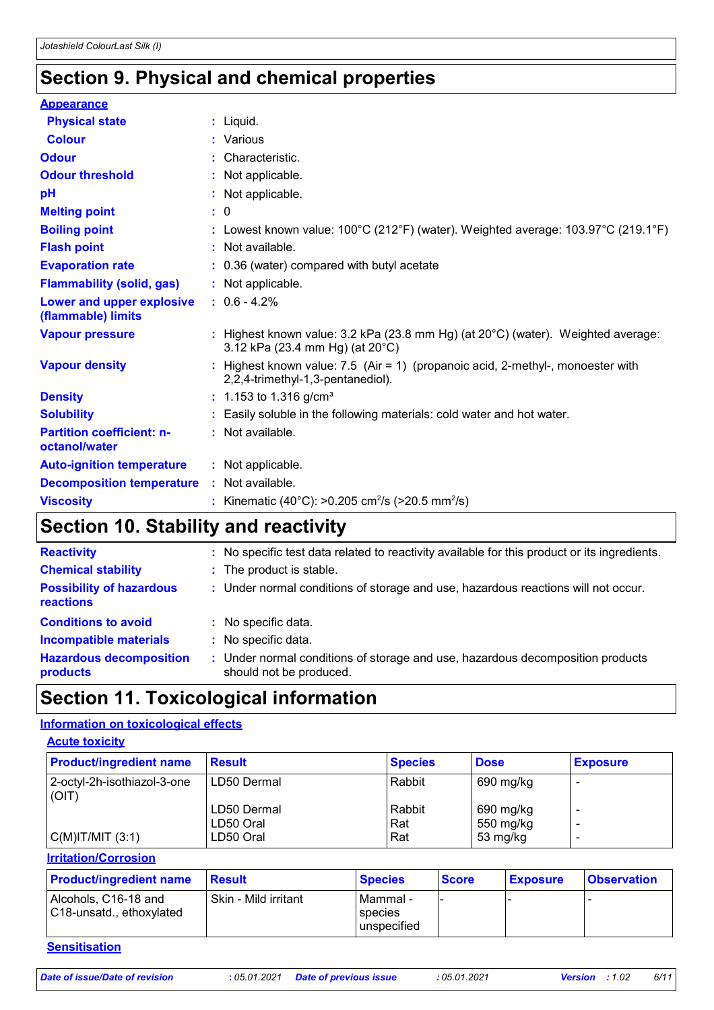# **Section 9. Physical and chemical properties**

| <b>Appearance</b>                                 |                                                                                                                                 |
|---------------------------------------------------|---------------------------------------------------------------------------------------------------------------------------------|
| <b>Physical state</b>                             | $:$ Liquid.                                                                                                                     |
| <b>Colour</b>                                     | : Various                                                                                                                       |
| <b>Odour</b>                                      | : Characteristic.                                                                                                               |
| <b>Odour threshold</b>                            | : Not applicable.                                                                                                               |
| pH                                                | : Not applicable.                                                                                                               |
| <b>Melting point</b>                              | $\colon 0$                                                                                                                      |
| <b>Boiling point</b>                              | : Lowest known value: $100^{\circ}$ C (212°F) (water). Weighted average: $103.97^{\circ}$ C (219.1°F)                           |
| <b>Flash point</b>                                | : Not available.                                                                                                                |
| <b>Evaporation rate</b>                           | : 0.36 (water) compared with butyl acetate                                                                                      |
| <b>Flammability (solid, gas)</b>                  | : Not applicable.                                                                                                               |
| Lower and upper explosive<br>(flammable) limits   | $: 0.6 - 4.2%$                                                                                                                  |
| <b>Vapour pressure</b>                            | : Highest known value: $3.2$ kPa (23.8 mm Hg) (at $20^{\circ}$ C) (water). Weighted average:<br>3.12 kPa (23.4 mm Hg) (at 20°C) |
| <b>Vapour density</b>                             | : Highest known value: $7.5$ (Air = 1) (propanoic acid, 2-methyl-, monoester with<br>2,2,4-trimethyl-1,3-pentanediol).          |
| <b>Density</b>                                    | $: 1.153$ to 1.316 g/cm <sup>3</sup>                                                                                            |
| <b>Solubility</b>                                 | : Easily soluble in the following materials: cold water and hot water.                                                          |
| <b>Partition coefficient: n-</b><br>octanol/water | : Not available.                                                                                                                |
| <b>Auto-ignition temperature</b>                  | : Not applicable.                                                                                                               |
| <b>Decomposition temperature</b>                  | : Not available.                                                                                                                |
| <b>Viscosity</b>                                  | : Kinematic (40°C): >0.205 cm <sup>2</sup> /s (>20.5 mm <sup>2</sup> /s)                                                        |

# **Section 10. Stability and reactivity**

| <b>Reactivity</b>                                   | : No specific test data related to reactivity available for this product or its ingredients.              |
|-----------------------------------------------------|-----------------------------------------------------------------------------------------------------------|
| <b>Chemical stability</b>                           | : The product is stable.                                                                                  |
| <b>Possibility of hazardous</b><br><b>reactions</b> | : Under normal conditions of storage and use, hazardous reactions will not occur.                         |
| <b>Conditions to avoid</b>                          | : No specific data.                                                                                       |
| <b>Incompatible materials</b>                       | : No specific data.                                                                                       |
| <b>Hazardous decomposition</b><br>products          | : Under normal conditions of storage and use, hazardous decomposition products<br>should not be produced. |

# **Section 11. Toxicological information**

### **Information on toxicological effects**

| <b>Product/ingredient name</b>         | <b>Result</b>            | <b>Species</b> | <b>Dose</b>            | <b>Exposure</b> |
|----------------------------------------|--------------------------|----------------|------------------------|-----------------|
| 2-octyl-2h-isothiazol-3-one  <br>(OIT) | LD50 Dermal              | Rabbit         | 690 mg/kg              |                 |
|                                        | LD50 Dermal<br>LD50 Oral | Rabbit<br>Rat  | 690 mg/kg<br>550 mg/kg |                 |
| $C(M)$ IT/MIT $(3:1)$                  | LD50 Oral                | Rat            | 53 mg/kg               |                 |

**Irritation/Corrosion**

| <b>Product/ingredient name</b>                   | <b>Result</b>        | <b>Species</b>                      | <b>Score</b> | <b>Exposure</b> | <b>Observation</b> |
|--------------------------------------------------|----------------------|-------------------------------------|--------------|-----------------|--------------------|
| Alcohols, C16-18 and<br>C18-unsatd., ethoxylated | Skin - Mild irritant | ⊺Mammal -<br>species<br>unspecified | ' –          |                 |                    |

### **Sensitisation**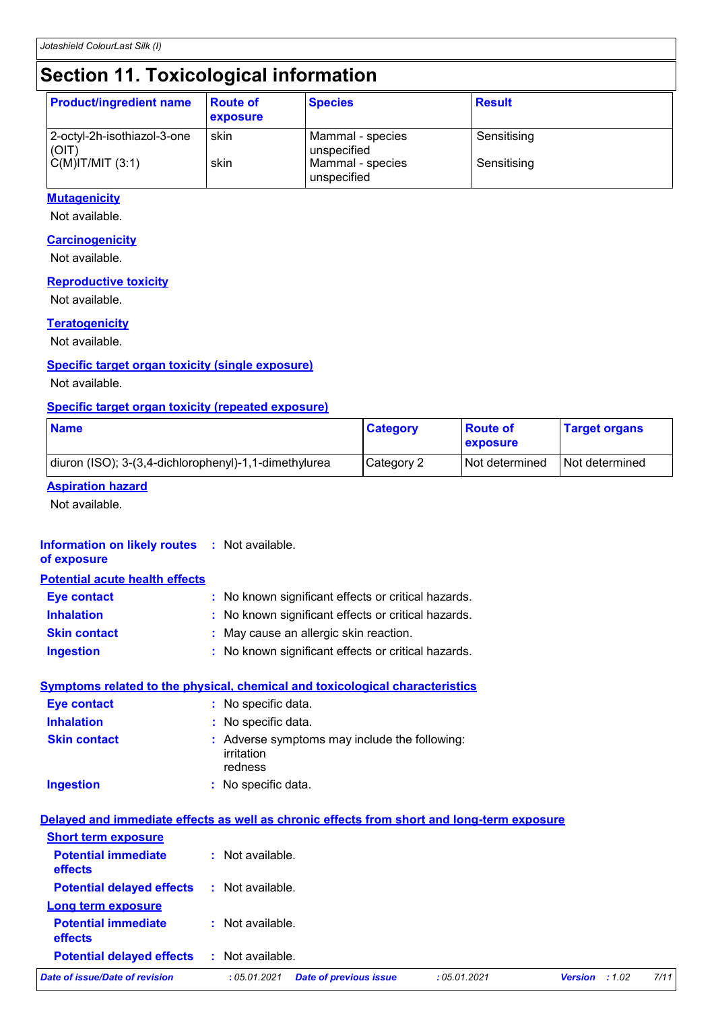# **Section 11. Toxicological information**

| <b>Product/ingredient name</b>       | <b>Route of</b><br>exposure | <b>Species</b>                  | <b>Result</b> |
|--------------------------------------|-----------------------------|---------------------------------|---------------|
| 2-octyl-2h-isothiazol-3-one<br>(OIT) | skin                        | Mammal - species<br>unspecified | Sensitising   |
| C(M) T/MIT (3:1)                     | skin                        | Mammal - species<br>unspecified | Sensitising   |

### **Mutagenicity**

Not available.

### **Carcinogenicity**

Not available.

### **Reproductive toxicity**

Not available.

### **Teratogenicity**

Not available.

### **Specific target organ toxicity (single exposure)**

Not available.

### **Specific target organ toxicity (repeated exposure)**

| <b>Name</b>                                           | <b>Category</b> | <b>Route of</b><br><b>Lexposure</b> | <b>Target organs</b> |
|-------------------------------------------------------|-----------------|-------------------------------------|----------------------|
| diuron (ISO); 3-(3,4-dichlorophenyl)-1,1-dimethylurea | Category 2      | I Not determined                    | I Not determined     |

### **Aspiration hazard**

Not available.

### **Information on likely routes :** Not available.

### **of exposure**

| <b>Potential acute health effects</b> |                                                     |
|---------------------------------------|-----------------------------------------------------|
| <b>Eye contact</b>                    | : No known significant effects or critical hazards. |
| <b>Inhalation</b>                     | : No known significant effects or critical hazards. |
| <b>Skin contact</b>                   | : May cause an allergic skin reaction.              |
| <b>Ingestion</b>                      | : No known significant effects or critical hazards. |

### **Symptoms related to the physical, chemical and toxicological characteristics Eye contact :** No specific data.

| <b>Inhalation</b>   | : No specific data.                                                    |
|---------------------|------------------------------------------------------------------------|
| <b>Skin contact</b> | : Adverse symptoms may include the following:<br>irritation<br>redness |
| <b>Ingestion</b>    | : No specific data.                                                    |

|                                              | Delayed and immediate effects as well as chronic effects from short and long-term exposure |              |                |       |      |
|----------------------------------------------|--------------------------------------------------------------------------------------------|--------------|----------------|-------|------|
| <b>Short term exposure</b>                   |                                                                                            |              |                |       |      |
| <b>Potential immediate</b><br><b>effects</b> | : Not available.                                                                           |              |                |       |      |
| <b>Potential delayed effects</b>             | : Not available.                                                                           |              |                |       |      |
| Long term exposure                           |                                                                                            |              |                |       |      |
| <b>Potential immediate</b><br><b>effects</b> | : Not available.                                                                           |              |                |       |      |
| <b>Potential delayed effects</b>             | : Not available.                                                                           |              |                |       |      |
| <b>Date of issue/Date of revision</b>        | <b>Date of previous issue</b><br>:05.01.2021                                               | : 05.01.2021 | <b>Version</b> | :1.02 | 7/11 |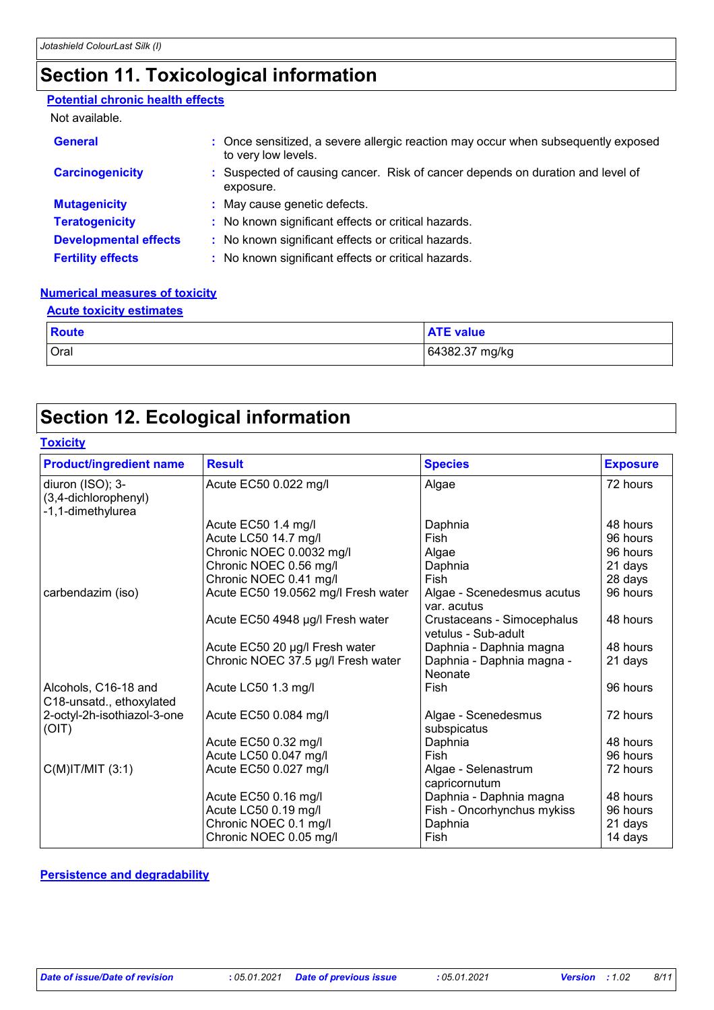# **Section 11. Toxicological information**

### **Potential chronic health effects**

#### Not available.

| <b>General</b>               | : Once sensitized, a severe allergic reaction may occur when subsequently exposed<br>to very low levels. |
|------------------------------|----------------------------------------------------------------------------------------------------------|
| <b>Carcinogenicity</b>       | : Suspected of causing cancer. Risk of cancer depends on duration and level of<br>exposure.              |
| <b>Mutagenicity</b>          | : May cause genetic defects.                                                                             |
| <b>Teratogenicity</b>        | : No known significant effects or critical hazards.                                                      |
| <b>Developmental effects</b> | : No known significant effects or critical hazards.                                                      |
| <b>Fertility effects</b>     | : No known significant effects or critical hazards.                                                      |

#### **Numerical measures of toxicity Acute toxicity estimates**

| <b>ACTIG TOXICITY ESTIMATES</b> |                  |  |  |  |
|---------------------------------|------------------|--|--|--|
| <b>Route</b>                    | <b>ATE value</b> |  |  |  |
| Oral                            | 64382.37 mg/kg   |  |  |  |

# **Section 12. Ecological information**

### **Toxicity**

| <b>Product/ingredient name</b>                                | <b>Result</b>                       | <b>Species</b>                                    | <b>Exposure</b> |
|---------------------------------------------------------------|-------------------------------------|---------------------------------------------------|-----------------|
| diuron (ISO); 3-<br>(3,4-dichlorophenyl)<br>-1,1-dimethylurea | Acute EC50 0.022 mg/l               | Algae                                             | 72 hours        |
|                                                               | Acute EC50 1.4 mg/l                 | Daphnia                                           | 48 hours        |
|                                                               | Acute LC50 14.7 mg/l                | Fish                                              | 96 hours        |
|                                                               | Chronic NOEC 0.0032 mg/l            | Algae                                             | 96 hours        |
|                                                               | Chronic NOEC 0.56 mg/l              | Daphnia                                           | 21 days         |
|                                                               | Chronic NOEC 0.41 mg/l              | Fish                                              | 28 days         |
| carbendazim (iso)                                             | Acute EC50 19.0562 mg/l Fresh water | Algae - Scenedesmus acutus<br>var. acutus         | 96 hours        |
|                                                               | Acute EC50 4948 µg/l Fresh water    | Crustaceans - Simocephalus<br>vetulus - Sub-adult | 48 hours        |
|                                                               | Acute EC50 20 µg/l Fresh water      | Daphnia - Daphnia magna                           | 48 hours        |
|                                                               | Chronic NOEC 37.5 µg/l Fresh water  | Daphnia - Daphnia magna -<br>Neonate              | 21 days         |
| Alcohols, C16-18 and<br>C18-unsatd., ethoxylated              | Acute LC50 1.3 mg/l                 | Fish                                              | 96 hours        |
| 2-octyl-2h-isothiazol-3-one<br>(OIT)                          | Acute EC50 0.084 mg/l               | Algae - Scenedesmus<br>subspicatus                | 72 hours        |
|                                                               | Acute EC50 0.32 mg/l                | Daphnia                                           | 48 hours        |
|                                                               | Acute LC50 0.047 mg/l               | Fish                                              | 96 hours        |
| $C(M)$ IT/MIT $(3:1)$                                         | Acute EC50 0.027 mg/l               | Algae - Selenastrum<br>capricornutum              | 72 hours        |
|                                                               | Acute EC50 0.16 mg/l                | Daphnia - Daphnia magna                           | 48 hours        |
|                                                               | Acute LC50 0.19 mg/l                | Fish - Oncorhynchus mykiss                        | 96 hours        |
|                                                               | Chronic NOEC 0.1 mg/l               | Daphnia                                           | 21 days         |
|                                                               | Chronic NOEC 0.05 mg/l              | Fish                                              | 14 days         |

**Persistence and degradability**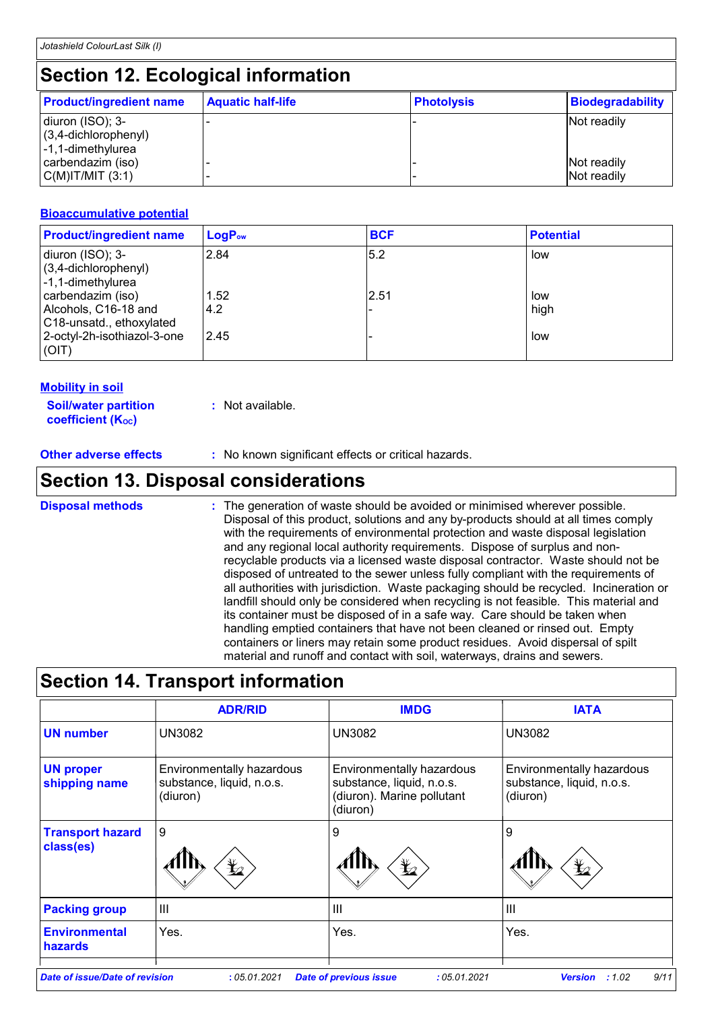# **Section 12. Ecological information**

| <b>Product/ingredient name</b>                                   | <b>Aquatic half-life</b> | <b>Photolysis</b> | Biodegradability           |
|------------------------------------------------------------------|--------------------------|-------------------|----------------------------|
| diuron (ISO); 3-<br>$(3,4$ -dichlorophenyl)<br>-1,1-dimethylurea |                          |                   | Not readily                |
| carbendazim (iso)<br> C(M) T/MIT (3:1)                           |                          |                   | Not readily<br>Not readily |

### **Bioaccumulative potential**

| <b>Product/ingredient name</b>                                        | $LogP_{ow}$ | <b>BCF</b> | <b>Potential</b> |
|-----------------------------------------------------------------------|-------------|------------|------------------|
| diuron (ISO); 3-<br>(3,4-dichlorophenyl)<br>-1,1-dimethylurea         | 2.84        | 5.2        | low              |
| carbendazim (iso)<br>Alcohols, C16-18 and<br>C18-unsatd., ethoxylated | 1.52<br>4.2 | 2.51       | low<br>high      |
| 2-octyl-2h-isothiazol-3-one<br>(OIT)                                  | 2.45        |            | low              |

### **Mobility in soil**

**Soil/water partition coefficient (Koc)** 

**:** Not available.

**Other adverse effects** : No known significant effects or critical hazards.

# **Section 13. Disposal considerations**

The generation of waste should be avoided or minimised wherever possible. Disposal of this product, solutions and any by-products should at all times comply with the requirements of environmental protection and waste disposal legislation and any regional local authority requirements. Dispose of surplus and nonrecyclable products via a licensed waste disposal contractor. Waste should not be disposed of untreated to the sewer unless fully compliant with the requirements of all authorities with jurisdiction. Waste packaging should be recycled. Incineration or landfill should only be considered when recycling is not feasible. This material and its container must be disposed of in a safe way. Care should be taken when handling emptied containers that have not been cleaned or rinsed out. Empty containers or liners may retain some product residues. Avoid dispersal of spilt material and runoff and contact with soil, waterways, drains and sewers. **Disposal methods :**

# **Section 14. Transport information**

|                                        | <b>ADR/RID</b>                                                     | <b>IMDG</b>                                                                                      | <b>IATA</b>                                                        |
|----------------------------------------|--------------------------------------------------------------------|--------------------------------------------------------------------------------------------------|--------------------------------------------------------------------|
| <b>UN number</b>                       | <b>UN3082</b>                                                      | <b>UN3082</b>                                                                                    | <b>UN3082</b>                                                      |
| <b>UN proper</b><br>shipping name      | Environmentally hazardous<br>substance, liquid, n.o.s.<br>(diuron) | Environmentally hazardous<br>substance, liquid, n.o.s.<br>(diuron). Marine pollutant<br>(diuron) | Environmentally hazardous<br>substance, liquid, n.o.s.<br>(diuron) |
| <b>Transport hazard</b><br>class(es)   | 9<br>$\mathbf{\mathbf{\mathbf{\mathbf{\mathbf{\mathbf{t}}}}}}$     | 9<br>$\mathfrak{k}_2$                                                                            | 9<br>¥2                                                            |
| <b>Packing group</b>                   | III                                                                | III                                                                                              | III                                                                |
| <b>Environmental</b><br><b>hazards</b> | Yes.                                                               | Yes.                                                                                             | Yes.                                                               |
| Date of issue/Date of revision         | : 05.01.2021                                                       | <b>Date of previous issue</b><br>:05.01.2021                                                     | 9/11<br><b>Version</b><br>:1.02                                    |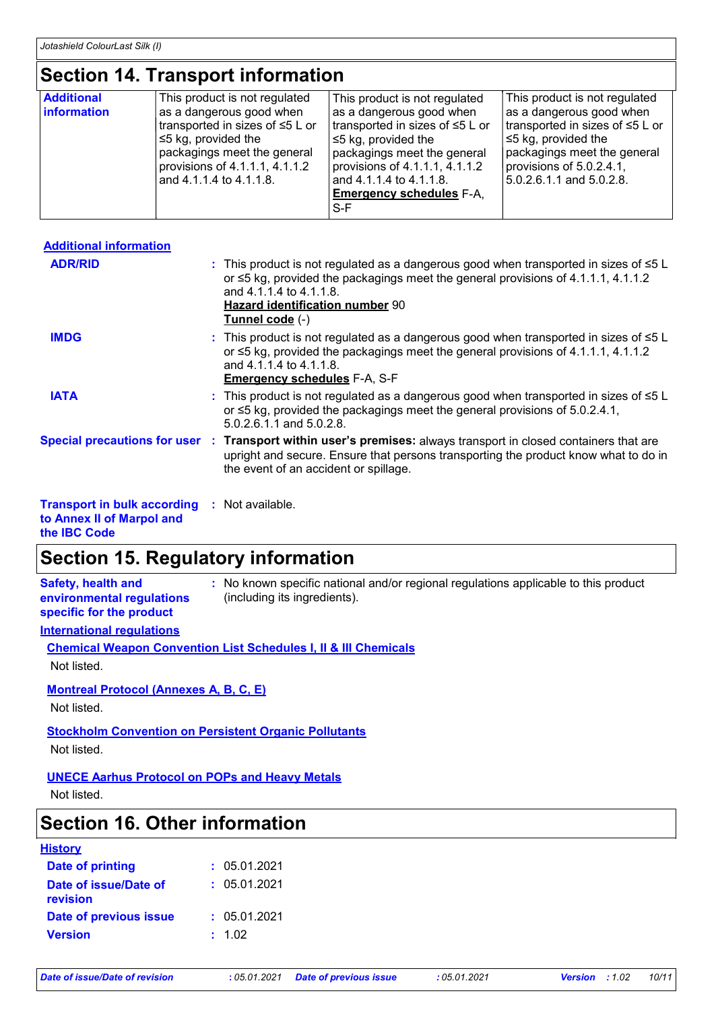# **Section 14. Transport information**

| <b>Additional</b><br>This product is not regulated<br>This product is not regulated<br>This product is not regulated<br>as a dangerous good when<br>as a dangerous good when<br>as a dangerous good when<br>transported in sizes of ≤5 L or<br>transported in sizes of ≤5 L or<br>transported in sizes of ≤5 L or<br>I≤5 kg, provided the<br>I ≤5 kg, provided the<br>$\leq$ kg, provided the<br>packagings meet the general<br>packagings meet the general<br>packagings meet the general<br>provisions of $4.1.1.1, 4.1.1.2$<br>provisions of $5.0.2.4.1$ ,<br>provisions of 4.1.1.1, 4.1.1.2<br>and 4.1.1.4 to 4.1.1.8.<br>$ 5.0.2.6.1.1$ and $5.0.2.8.$<br>and 4.1.1.4 to 4.1.1.8.<br><b>Emergency schedules F-A.</b> |  |       |  |
|---------------------------------------------------------------------------------------------------------------------------------------------------------------------------------------------------------------------------------------------------------------------------------------------------------------------------------------------------------------------------------------------------------------------------------------------------------------------------------------------------------------------------------------------------------------------------------------------------------------------------------------------------------------------------------------------------------------------------|--|-------|--|
| <b>information</b>                                                                                                                                                                                                                                                                                                                                                                                                                                                                                                                                                                                                                                                                                                        |  |       |  |
|                                                                                                                                                                                                                                                                                                                                                                                                                                                                                                                                                                                                                                                                                                                           |  | $S-F$ |  |

| <b>Additional information</b>                      |                                                                                                                                                                                                                                                                          |
|----------------------------------------------------|--------------------------------------------------------------------------------------------------------------------------------------------------------------------------------------------------------------------------------------------------------------------------|
| <b>ADR/RID</b>                                     | : This product is not regulated as a dangerous good when transported in sizes of $\leq 5$ L<br>or ≤5 kg, provided the packagings meet the general provisions of 4.1.1.1, 4.1.1.2<br>and 4.1.1.4 to 4.1.1.8.<br><b>Hazard identification number 90</b><br>Tunnel code (-) |
| <b>IMDG</b>                                        | : This product is not regulated as a dangerous good when transported in sizes of $\leq 5$ L<br>or $\leq$ 5 kg, provided the packagings meet the general provisions of 4.1.1.1, 4.1.1.2<br>and 4.1.1.4 to 4.1.1.8.<br><b>Emergency schedules F-A, S-F</b>                 |
| <b>IATA</b>                                        | : This product is not regulated as a dangerous good when transported in sizes of $\leq 5$ L<br>or $\leq$ 5 kg, provided the packagings meet the general provisions of 5.0.2.4.1,<br>5.0.2.6.1.1 and 5.0.2.8.                                                             |
|                                                    | Special precautions for user : Transport within user's premises: always transport in closed containers that are<br>upright and secure. Ensure that persons transporting the product know what to do in<br>the event of an accident or spillage.                          |
| <b>Transport in bulk according</b> . Not available |                                                                                                                                                                                                                                                                          |

| <b>Transport in bulk according : Not available.</b> |  |  |
|-----------------------------------------------------|--|--|
|                                                     |  |  |

**to Annex II of Marpol and** 

**the IBC Code**

# **Section 15. Regulatory information**

**Safety, health and environmental regulations specific for the product**

**:** No known specific national and/or regional regulations applicable to this product (including its ingredients).

# **International regulations**

### **Chemical Weapon Convention List Schedules I, II & III Chemicals**

Not listed.

### **Montreal Protocol (Annexes A, B, C, E)**

Not listed.

### **Stockholm Convention on Persistent Organic Pollutants**

Not listed.

### **UNECE Aarhus Protocol on POPs and Heavy Metals**

Not listed.

# **Section 16. Other information**

| <b>Date of printing</b><br>: 05.01.2021<br>: 05.01.2021<br>Date of issue/Date of<br>revision<br><b>Date of previous issue</b><br>: 05.01.2021<br><b>Version</b><br>: 1.02 | <u>History</u> |  |
|---------------------------------------------------------------------------------------------------------------------------------------------------------------------------|----------------|--|
|                                                                                                                                                                           |                |  |
|                                                                                                                                                                           |                |  |
|                                                                                                                                                                           |                |  |
|                                                                                                                                                                           |                |  |